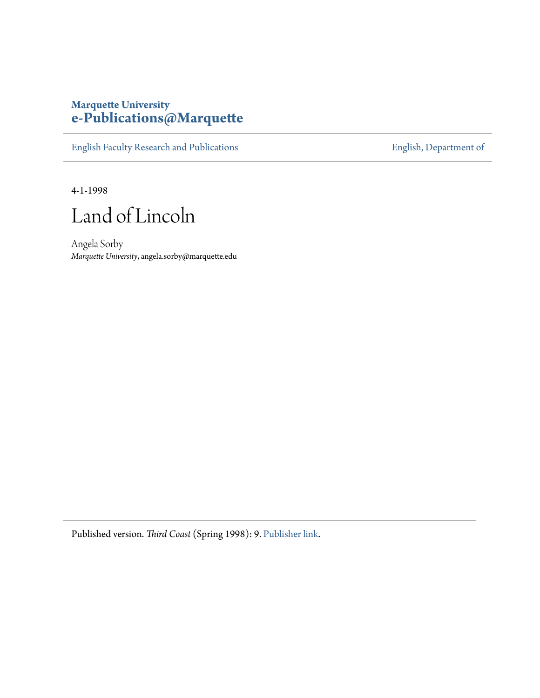## **Marquette University [e-Publications@Marquette](https://epublications.marquette.edu)**

[English Faculty Research and Publications](https://epublications.marquette.edu/english_fac) **[English, Department of](https://epublications.marquette.edu/english)** 

4-1-1998

Land of Lincoln

Angela Sorby *Marquette University*, angela.sorby@marquette.edu

Published version. *Third Coast* (Spring 1998): 9. [Publisher link.](http://thirdcoastmagazine.com/)